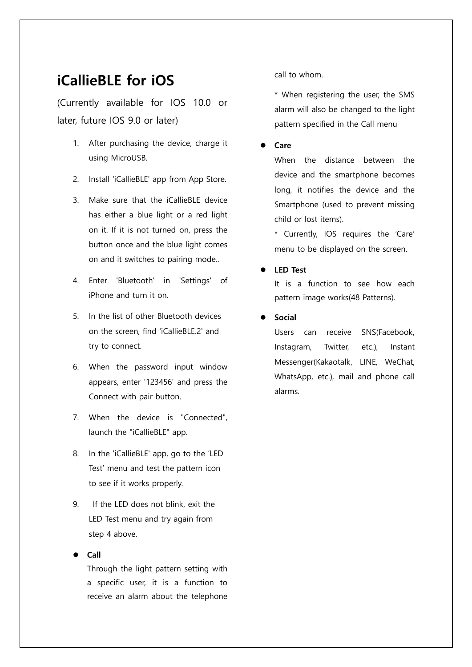# **iCallieBLE for iOS**

(Currently available for IOS 10.0 or later, future IOS 9.0 or later)

- 1. After purchasing the device, charge it using MicroUSB.
- 2. Install 'iCallieBLE' app from App Store.
- 3. Make sure that the iCallieBLE device has either a blue light or a red light on it. If it is not turned on, press the button once and the blue light comes on and it switches to pairing mode..
- 4. Enter 'Bluetooth' in 'Settings' of iPhone and turn it on.
- 5. In the list of other Bluetooth devices on the screen, find 'iCallieBLE.2' and try to connect.
- 6. When the password input window appears, enter '123456' and press the Connect with pair button.
- 7. When the device is "Connected", launch the "iCallieBLE" app.
- 8. In the 'iCallieBLE' app, go to the 'LED Test' menu and test the pattern icon to see if it works properly.
- 9. If the LED does not blink, exit the LED Test menu and try again from step 4 above.

#### **Call**

Through the light pattern setting with a specific user, it is a function to receive an alarm about the telephone call to whom.

\* When registering the user, the SMS alarm will also be changed to the light pattern specified in the Call menu

#### **Care**

When the distance between the device and the smartphone becomes long, it notifies the device and the Smartphone (used to prevent missing child or lost items).

\* Currently, IOS requires the 'Care' menu to be displayed on the screen.

**LED Test** 

It is a function to see how each pattern image works(48 Patterns).

**Social**

Users can receive SNS(Facebook, Instagram, Twitter, etc.), Instant Messenger(Kakaotalk, LINE, WeChat, WhatsApp, etc.), mail and phone call alarms.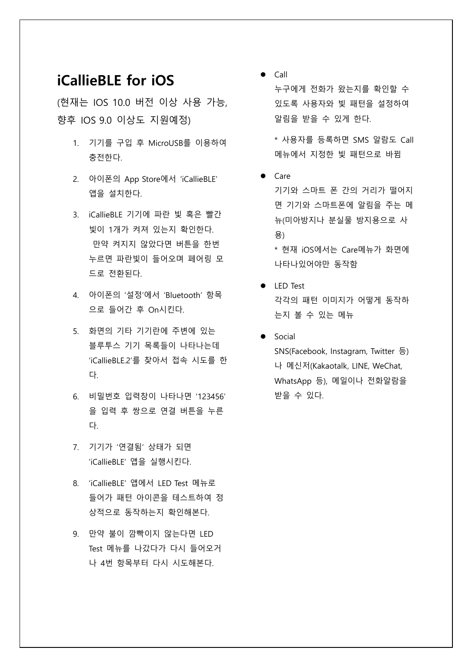## **iCallieBLE for iOS**

(현재는 IOS 10.0 버전 이상 사용 가능, 향후 IOS 9.0 이상도 지원예정)

- 1. 기기를 구입 후 MicroUSB를 이용하여 충전한다.
- 2. 아이폰의 App Store에서 'iCallieBLE' 앱을 설치한다.
- 3. iCallieBLE 기기에 파란 빛 혹은 빨간 빛이 1개가 켜져 있는지 확인한다. 만약 켜지지 않았다면 버튼을 한번 누르면 파란빛이 들어오며 페어링 모 드로 전환된다.
- 4. 아이폰의 '설정'에서 'Bluetooth' 항목 으로 들어간 후 On시킨다.
- 5. 화면의 기타 기기란에 주변에 있는 블루투스 기기 목록들이 나타나는데 'iCallieBLE.2'를 찾아서 접속 시도를 한 다.
- 6. 비밀번호 입력창이 나타나면 '123456' 을 입력 후 쌍으로 연결 버튼을 누른 다.
- 7. 기기가 '연결됨' 상태가 되면 'iCallieBLE' 앱을 실행시킨다.
- 8. 'iCallieBLE' 앱에서 LED Test 메뉴로 들어가 패턴 아이콘을 테스트하여 정 상적으로 동작하는지 확인해본다.
- 9. 만약 불이 깜빡이지 않는다면 LED Test 메뉴를 나갔다가 다시 들어오거 나 4번 항목부터 다시 시도해본다.

 $\bullet$  Call

누구에게 전화가 왔는지를 확인할 수 있도록 사용자와 빛 패턴을 설정하여 알림을 받을 수 있게 한다.

\* 사용자를 등록하면 SMS 알람도 Call 메뉴에서 지정한 빛 패턴으로 바뀜

 $\bullet$  Care

기기와 스마트 폰 간의 거리가 떨어지 면 기기와 스마트폰에 알림을 주는 메 뉴(미아방지나 분실물 방지용으로 사 용)

\* 현재 iOS에서는 Care메뉴가 화면에 나타나있어야만 동작함

- LED Test 각각의 패턴 이미지가 어떻게 동작하 는지 볼 수 있는 메뉴
- **•** Social SNS(Facebook, Instagram, Twitter 등) 나 메신저(Kakaotalk, LINE, WeChat, WhatsApp 등), 메일이나 전화알람을 받을 수 있다.